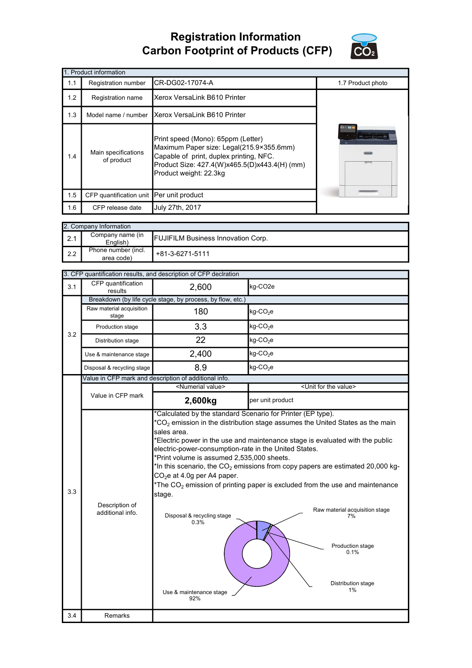## Registration Information Carbon Footprint of Products (CFP)



|     | 1. Product information                   |                                                                                                                                                                                                      |                   |  |  |  |
|-----|------------------------------------------|------------------------------------------------------------------------------------------------------------------------------------------------------------------------------------------------------|-------------------|--|--|--|
| 1.1 | Registration number                      | CR-DG02-17074-A                                                                                                                                                                                      | 1.7 Product photo |  |  |  |
| 1.2 | Registration name                        | Xerox VersaLink B610 Printer                                                                                                                                                                         |                   |  |  |  |
| 1.3 | Model name / number                      | Xerox VersaLink B610 Printer                                                                                                                                                                         |                   |  |  |  |
| 1.4 | Main specifications<br>of product        | Print speed (Mono): 65ppm (Letter)<br>Maximum Paper size: Legal(215.9×355.6mm)<br>Capable of print, duplex printing, NFC.<br>Product Size: 427.4(W)x465.5(D)x443.4(H) (mm)<br>Product weight: 22.3kg | 日本国               |  |  |  |
| 1.5 | CFP quantification unit Per unit product |                                                                                                                                                                                                      |                   |  |  |  |
| 1.6 | CFP release date                         | July 27th, 2017                                                                                                                                                                                      |                   |  |  |  |

|             | 2. Company Information                                                    |                 |  |  |  |
|-------------|---------------------------------------------------------------------------|-----------------|--|--|--|
| $\vert$ 2.1 | Company name (in<br><b>FUJIFILM Business Innovation Corp.</b><br>English) |                 |  |  |  |
| l 2.2       | Phone number (incl.<br>area code)                                         | +81-3-6271-5111 |  |  |  |

| CFP quantification<br>2,600<br>kg-CO <sub>2e</sub><br>3.1<br>results<br>Breakdown (by life cycle stage, by process, by flow, etc.)<br>Raw material acquisition<br>180<br>$kg$ -CO <sub>2</sub> e<br>stage<br>3.3<br>$kg$ -CO <sub>2</sub> e<br>Production stage<br>3.2<br>22<br>$kg$ -CO <sub>2</sub> e<br>Distribution stage<br>2,400<br>$kg$ -CO <sub>2</sub> e<br>Use & maintenance stage<br>8.9<br>kg-CO <sub>2</sub> e<br>Disposal & recycling stage<br>Value in CFP mark and description of additional info.<br><numerial value=""><br/><unit for="" the="" value=""><br/>Value in CFP mark<br/>2,600kg<br/>per unit product<br/>*Calculated by the standard Scenario for Printer (EP type).<br/><math>*</math>CO<sub>2</sub> emission in the distribution stage assumes the United States as the main<br/>sales area.<br/>*Electric power in the use and maintenance stage is evaluated with the public<br/>electric-power-consumption-rate in the United States.<br/>*Print volume is assumed 2,535,000 sheets.<br/>*In this scenario, the <math>CO2</math> emissions from copy papers are estimated 20,000 kg-<br/>CO<sub>2</sub>e at 4.0g per A4 paper.<br/>*The <math>CO2</math> emission of printing paper is excluded from the use and maintenance<br/>3.3<br/>stage.<br/>Description of<br/>Raw material acquisition stage<br/>additional info.<br/>Disposal &amp; recycling stage<br/>7%<br/>0.3%<br/>Production stage<br/>0.1%<br/>Distribution stage<br/>1%<br/>Use &amp; maintenance stage<br/>92%</unit></numerial> |     | 3. CFP quantification results, and description of CFP declration |  |  |  |  |
|----------------------------------------------------------------------------------------------------------------------------------------------------------------------------------------------------------------------------------------------------------------------------------------------------------------------------------------------------------------------------------------------------------------------------------------------------------------------------------------------------------------------------------------------------------------------------------------------------------------------------------------------------------------------------------------------------------------------------------------------------------------------------------------------------------------------------------------------------------------------------------------------------------------------------------------------------------------------------------------------------------------------------------------------------------------------------------------------------------------------------------------------------------------------------------------------------------------------------------------------------------------------------------------------------------------------------------------------------------------------------------------------------------------------------------------------------------------------------------------------------------------------------------------|-----|------------------------------------------------------------------|--|--|--|--|
|                                                                                                                                                                                                                                                                                                                                                                                                                                                                                                                                                                                                                                                                                                                                                                                                                                                                                                                                                                                                                                                                                                                                                                                                                                                                                                                                                                                                                                                                                                                                        |     |                                                                  |  |  |  |  |
|                                                                                                                                                                                                                                                                                                                                                                                                                                                                                                                                                                                                                                                                                                                                                                                                                                                                                                                                                                                                                                                                                                                                                                                                                                                                                                                                                                                                                                                                                                                                        |     |                                                                  |  |  |  |  |
|                                                                                                                                                                                                                                                                                                                                                                                                                                                                                                                                                                                                                                                                                                                                                                                                                                                                                                                                                                                                                                                                                                                                                                                                                                                                                                                                                                                                                                                                                                                                        |     |                                                                  |  |  |  |  |
|                                                                                                                                                                                                                                                                                                                                                                                                                                                                                                                                                                                                                                                                                                                                                                                                                                                                                                                                                                                                                                                                                                                                                                                                                                                                                                                                                                                                                                                                                                                                        |     |                                                                  |  |  |  |  |
|                                                                                                                                                                                                                                                                                                                                                                                                                                                                                                                                                                                                                                                                                                                                                                                                                                                                                                                                                                                                                                                                                                                                                                                                                                                                                                                                                                                                                                                                                                                                        |     |                                                                  |  |  |  |  |
|                                                                                                                                                                                                                                                                                                                                                                                                                                                                                                                                                                                                                                                                                                                                                                                                                                                                                                                                                                                                                                                                                                                                                                                                                                                                                                                                                                                                                                                                                                                                        |     |                                                                  |  |  |  |  |
|                                                                                                                                                                                                                                                                                                                                                                                                                                                                                                                                                                                                                                                                                                                                                                                                                                                                                                                                                                                                                                                                                                                                                                                                                                                                                                                                                                                                                                                                                                                                        |     |                                                                  |  |  |  |  |
|                                                                                                                                                                                                                                                                                                                                                                                                                                                                                                                                                                                                                                                                                                                                                                                                                                                                                                                                                                                                                                                                                                                                                                                                                                                                                                                                                                                                                                                                                                                                        |     |                                                                  |  |  |  |  |
|                                                                                                                                                                                                                                                                                                                                                                                                                                                                                                                                                                                                                                                                                                                                                                                                                                                                                                                                                                                                                                                                                                                                                                                                                                                                                                                                                                                                                                                                                                                                        |     |                                                                  |  |  |  |  |
|                                                                                                                                                                                                                                                                                                                                                                                                                                                                                                                                                                                                                                                                                                                                                                                                                                                                                                                                                                                                                                                                                                                                                                                                                                                                                                                                                                                                                                                                                                                                        |     |                                                                  |  |  |  |  |
|                                                                                                                                                                                                                                                                                                                                                                                                                                                                                                                                                                                                                                                                                                                                                                                                                                                                                                                                                                                                                                                                                                                                                                                                                                                                                                                                                                                                                                                                                                                                        |     |                                                                  |  |  |  |  |
|                                                                                                                                                                                                                                                                                                                                                                                                                                                                                                                                                                                                                                                                                                                                                                                                                                                                                                                                                                                                                                                                                                                                                                                                                                                                                                                                                                                                                                                                                                                                        | 3.4 | Remarks                                                          |  |  |  |  |